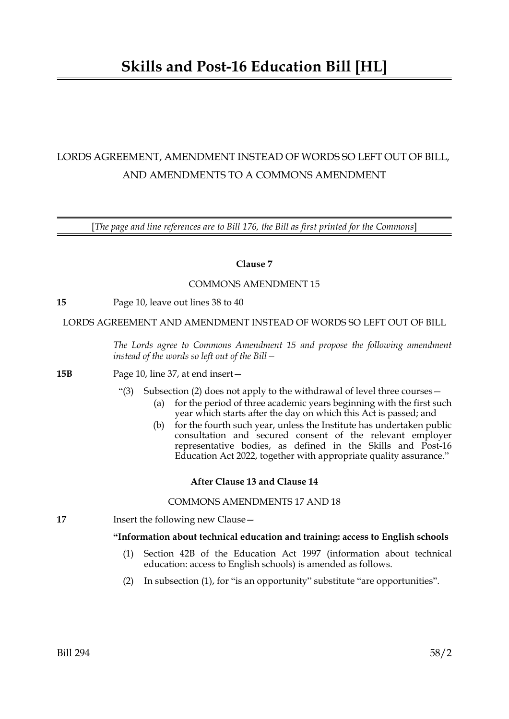# LORDS AGREEMENT, AMENDMENT INSTEAD OF WORDS SO LEFT OUT OF BILL, AND AMENDMENTS TO A COMMONS AMENDMENT

[*The page and line references are to Bill 176, the Bill as first printed for the Commons*]

## **Clause 7**

### COMMONS AMENDMENT 15

**15** Page 10, leave out lines 38 to 40

LORDS AGREEMENT AND AMENDMENT INSTEAD OF WORDS SO LEFT OUT OF BILL

*The Lords agree to Commons Amendment 15 and propose the following amendment instead of the words so left out of the Bill—*

#### **15B** Page 10, line 37, at end insert—

- "(3) Subsection (2) does not apply to the withdrawal of level three courses—
	- (a) for the period of three academic years beginning with the first such year which starts after the day on which this Act is passed; and
	- (b) for the fourth such year, unless the Institute has undertaken public consultation and secured consent of the relevant employer representative bodies, as defined in the Skills and Post-16 Education Act 2022, together with appropriate quality assurance."

## **After Clause 13 and Clause 14**

### COMMONS AMENDMENTS 17 AND 18

**17** Insert the following new Clause —

### **"Information about technical education and training: access to English schools**

- (1) Section 42B of the Education Act 1997 (information about technical education: access to English schools) is amended as follows.
- (2) In subsection (1), for "is an opportunity" substitute "are opportunities".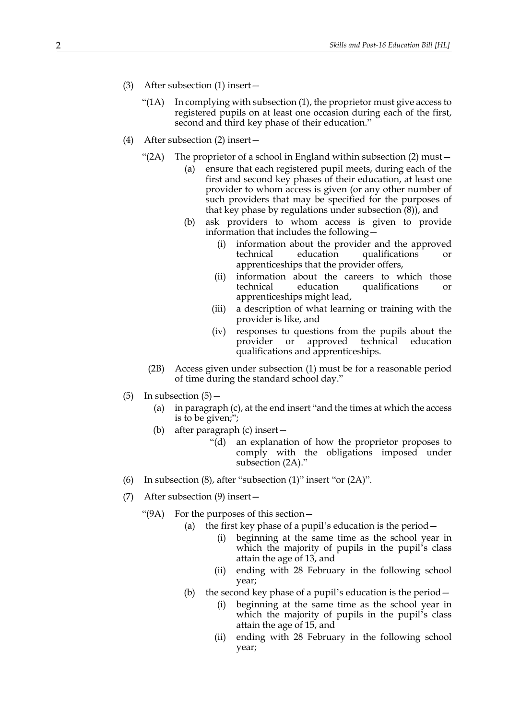- (3) After subsection (1) insert—
	- "( $1$ A) In complying with subsection  $(1)$ , the proprietor must give access to registered pupils on at least one occasion during each of the first, second and third key phase of their education."
- <span id="page-1-0"></span>(4) After subsection (2) insert—
	- "(2A) The proprietor of a school in England within subsection (2) must  $-$ 
		- (a) ensure that each registered pupil meets, during each of the first and second key phases of their education, at least one provider to whom access is given (or any other number of such providers that may be specified for the purposes of that key phase by regulations under subsection (8)), and
		- (b) ask providers to whom access is given to provide information that includes the following—
			- (i) information about the provider and the approved technical education qualifications or apprenticeships that the provider offers,
			- (ii) information about the careers to which those technical education qualifications or apprenticeships might lead,
			- (iii) a description of what learning or training with the provider is like, and
			- (iv) responses to questions from the pupils about the provider or approved technical education qualifications and apprenticeships.
		- (2B) Access given under subsection (1) must be for a reasonable period of time during the standard school day."
- (5) In subsection  $(5)$ 
	- (a) in paragraph (c), at the end insert "and the times at which the access is to be given;";
	- (b) after paragraph (c) insert—
		- "(d) an explanation of how the proprietor proposes to comply with the obligations imposed under subsection [\(2A\)](#page-1-0)."
- (6) In subsection (8), after "subsection (1)" insert "or [\(2A\)"](#page-1-0).
- (7) After subsection (9) insert—
	- "(9A) For the purposes of this section—
		- (a) the first key phase of a pupil's education is the period—
			- (i) beginning at the same time as the school year in which the majority of pupils in the pupil's class attain the age of 13, and
			- (ii) ending with 28 February in the following school year;
		- (b) the second key phase of a pupil's education is the period—
			- (i) beginning at the same time as the school year in which the majority of pupils in the pupil's class attain the age of 15, and
			- (ii) ending with 28 February in the following school year;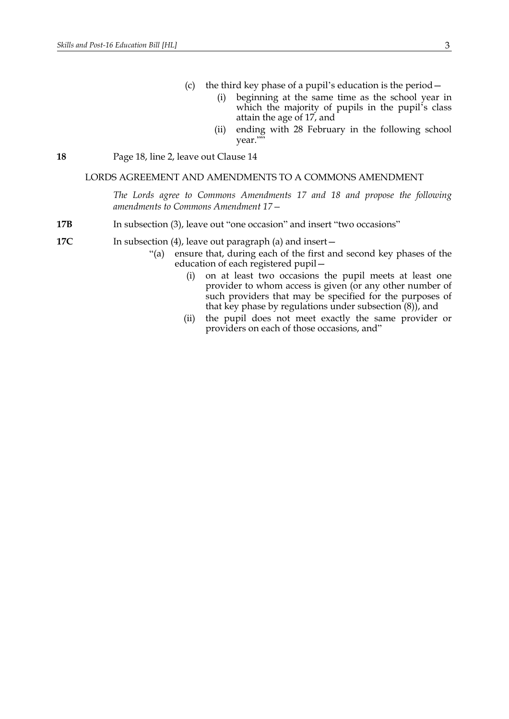- (c) the third key phase of a pupil's education is the period—
	- (i) beginning at the same time as the school year in which the majority of pupils in the pupil's class attain the age of 17, and
	- (ii) ending with 28 February in the following school year."

#### **18** Page 18, line 2, leave out Clause 14

#### LORDS AGREEMENT AND AMENDMENTS TO A COMMONS AMENDMENT

*The Lords agree to Commons Amendments 17 and 18 and propose the following amendments to Commons Amendment 17—*

- **17B** In subsection (3), leave out "one occasion" and insert "two occasions"
- **17C** In subsection (4), leave out paragraph (a) and insert
	- "(a) ensure that, during each of the first and second key phases of the education of each registered pupil—
		- (i) on at least two occasions the pupil meets at least one provider to whom access is given (or any other number of such providers that may be specified for the purposes of that key phase by regulations under subsection  $(8)$ , and
		- (ii) the pupil does not meet exactly the same provider or providers on each of those occasions, and"